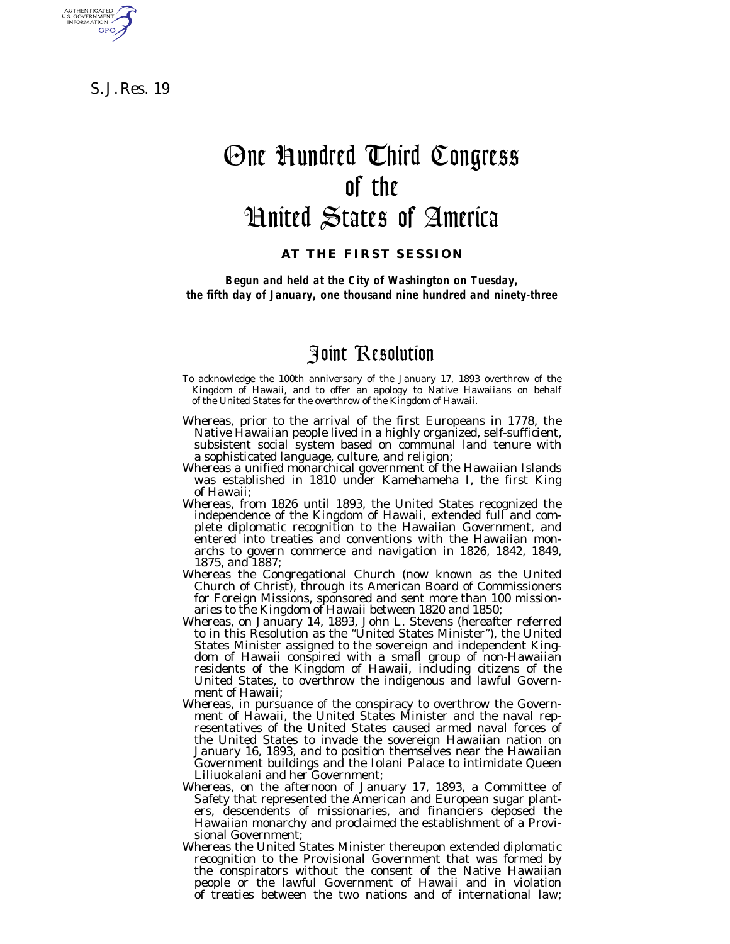S. J. Res. 19

AUTHENTICATED<br>U.S. GOVERNMENT<br>INFORMATION **GPO** 

# One Hundred Third Congress of the United States of America

### **AT THE FIRST SESSION**

*Begun and held at the City of Washington on Tuesday, the fifth day of January, one thousand nine hundred and ninety-three*

# Joint Resolution

- To acknowledge the 100th anniversary of the January 17, 1893 overthrow of the Kingdom of Hawaii, and to offer an apology to Native Hawaiians on behalf of the United States for the overthrow of the Kingdom of Hawaii.
- Whereas, prior to the arrival of the first Europeans in 1778, the Native Hawaiian people lived in a highly organized, self-sufficient, subsistent social system based on communal land tenure with a sophisticated language, culture, and religion;
- Whereas a unified monarchical government of the Hawaiian Islands was established in 1810 under Kamehameha I, the first King of Hawaii;
- Whereas, from 1826 until 1893, the United States recognized the independence of the Kingdom of Hawaii, extended full and complete diplomatic recognition to the Hawaiian Government, and entered into treaties and conventions with the Hawaiian monarchs to govern commerce and navigation in 1826, 1842, 1849, 1875, and 1887;
- Whereas the Congregational Church (now known as the United Church of Christ), through its American Board of Commissioners for Foreign Missions, sponsored and sent more than 100 mission-
- aries to the Kingdom of Hawaii between 1820 and 1850; Whereas, on January 14, 1893, John L. Stevens (hereafter referred to in this Resolution as the ''United States Minister''), the United States Minister assigned to the sovereign and independent Kingdom of Hawaii conspired with a small group of non-Hawaiian residents of the Kingdom of Hawaii, including citizens of the United States, to overthrow the indigenous and lawful Government of Hawaii;
- Whereas, in pursuance of the conspiracy to overthrow the Govern- ment of Hawaii, the United States Minister and the naval representatives of the United States caused armed naval forces of the United States to invade the sovereign Hawaiian nation on January 16, 1893, and to position themselves near the Hawaiian Government buildings and the Iolani Palace to intimidate Queen Liliuokalani and her Government;
- Whereas, on the afternoon of January 17, 1893, a Committee of Safety that represented the American and European sugar planters, descendents of missionaries, and financiers deposed the Hawaiian monarchy and proclaimed the establishment of a Provisional Government;
- Whereas the United States Minister thereupon extended diplomatic recognition to the Provisional Government that was formed by the conspirators without the consent of the Native Hawaiian people or the lawful Government of Hawaii and in violation of treaties between the two nations and of international law;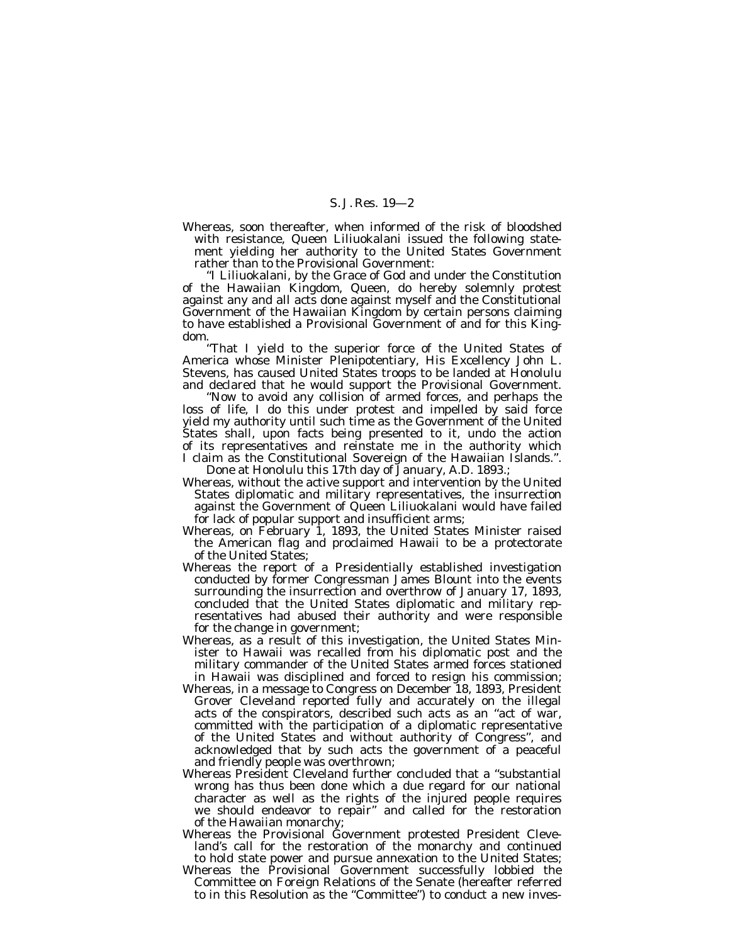Whereas, soon thereafter, when informed of the risk of bloodshed with resistance, Queen Liliuokalani issued the following statement yielding her authority to the United States Government rather than to the Provisional Government:

''I Liliuokalani, by the Grace of God and under the Constitution of the Hawaiian Kingdom, Queen, do hereby solemnly protest against any and all acts done against myself and the Constitutional Government of the Hawaiian Kingdom by certain persons claiming to have established a Provisional Government of and for this Kingdom.

''That I yield to the superior force of the United States of America whose Minister Plenipotentiary, His Excellency John L. Stevens, has caused United States troops to be landed at Honolulu and declared that he would support the Provisional Government.

''Now to avoid any collision of armed forces, and perhaps the loss of life, I do this under protest and impelled by said force yield my authority until such time as the Government of the United States shall, upon facts being presented to it, undo the action of its representatives and reinstate me in the authority which I claim as the Constitutional Sovereign of the Hawaiian Islands.''. Done at Honolulu this 17th day of January, A.D. 1893.;

- Whereas, without the active support and intervention by the United States diplomatic and military representatives, the insurrection against the Government of Queen Liliuokalani would have failed for lack of popular support and insufficient arms;
- Whereas, on February 1, 1893, the United States Minister raised the American flag and proclaimed Hawaii to be a protectorate of the United States;
- Whereas the report of a Presidentially established investigation conducted by former Congressman James Blount into the events surrounding the insurrection and overthrow of January 17, 1893, concluded that the United States diplomatic and military representatives had abused their authority and were responsible for the change in government;
- Whereas, as a result of this investigation, the United States Minister to Hawaii was recalled from his diplomatic post and the military commander of the United States armed forces stationed in Hawaii was disciplined and forced to resign his commission;
- Whereas, in a message to Congress on December 18, 1893, President Grover Cleveland reported fully and accurately on the illegal acts of the conspirators, described such acts as an ''act of war, committed with the participation of a diplomatic representative of the United States and without authority of Congress'', and acknowledged that by such acts the government of a peaceful and friendly people was overthrown;
- Whereas President Cleveland further concluded that a ''substantial wrong has thus been done which a due regard for our national character as well as the rights of the injured people requires we should endeavor to repair'' and called for the restoration of the Hawaiian monarchy;
- Whereas the Provisional Government protested President Cleveland's call for the restoration of the monarchy and continued to hold state power and pursue annexation to the United States;
- Whereas the Provisional Government successfully lobbied the Committee on Foreign Relations of the Senate (hereafter referred to in this Resolution as the ''Committee'') to conduct a new inves-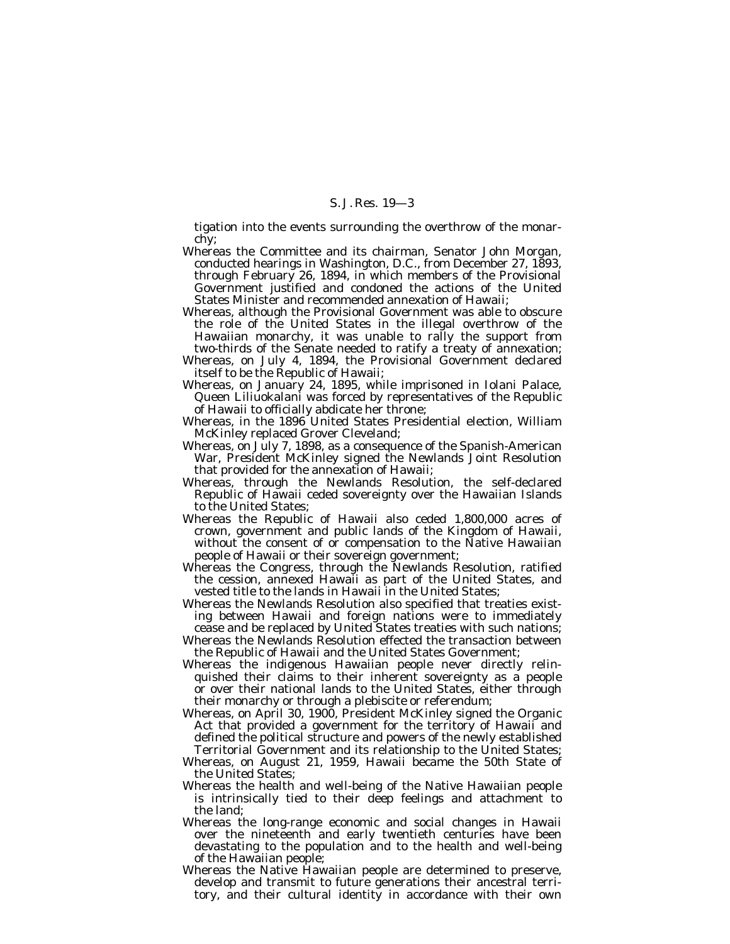tigation into the events surrounding the overthrow of the monarchy;

- Whereas the Committee and its chairman, Senator John Morgan, conducted hearings in Washington, D.C., from December 27, 1893, through February 26, 1894, in which members of the Provisional Government justified and condoned the actions of the United States Minister and recommended annexation of Hawaii;
- Whereas, although the Provisional Government was able to obscure the role of the United States in the illegal overthrow of the Hawaiian monarchy, it was unable to rally the support from two-thirds of the Senate needed to ratify a treaty of annexation;
- Whereas, on July 4, 1894, the Provisional Government declared itself to be the Republic of Hawaii;
- Whereas, on January 24, 1895, while imprisoned in Iolani Palace, Queen Liliuokalani was forced by representatives of the Republic of Hawaii to officially abdicate her throne;
- Whereas, in the 1896 United States Presidential election, William McKinley replaced Grover Cleveland;
- Whereas, on July 7, 1898, as a consequence of the Spanish-American War, President McKinley signed the Newlands Joint Resolution that provided for the annexation of Hawaii;
- Whereas, through the Newlands Resolution, the self-declared Republic of Hawaii ceded sovereignty over the Hawaiian Islands to the United States;
- Whereas the Republic of Hawaii also ceded 1,800,000 acres of crown, government and public lands of the Kingdom of Hawaii, without the consent of or compensation to the Native Hawaiian people of Hawaii or their sovereign government;
- Whereas the Congress, through the Newlands Resolution, ratified the cession, annexed Hawaii as part of the United States, and vested title to the lands in Hawaii in the United States;
- Whereas the Newlands Resolution also specified that treaties existing between Hawaii and foreign nations were to immediately cease and be replaced by United States treaties with such nations;
- Whereas the Newlands Resolution effected the transaction between the Republic of Hawaii and the United States Government;
- Whereas the indigenous Hawaiian people never directly relinquished their claims to their inherent sovereignty as a people or over their national lands to the United States, either through their monarchy or through a plebiscite or referendum;
- Whereas, on April 30, 1900, President McKinley signed the Organic Act that provided a government for the territory of Hawaii and defined the political structure and powers of the newly established Territorial Government and its relationship to the United States;
- Whereas, on August 21, 1959, Hawaii became the 50th State of the United States;
- Whereas the health and well-being of the Native Hawaiian people is intrinsically tied to their deep feelings and attachment to the land;
- Whereas the long-range economic and social changes in Hawaii over the nineteenth and early twentieth centuries have been devastating to the population and to the health and well-being of the Hawaiian people;
- Whereas the Native Hawaiian people are determined to preserve, develop and transmit to future generations their ancestral territory, and their cultural identity in accordance with their own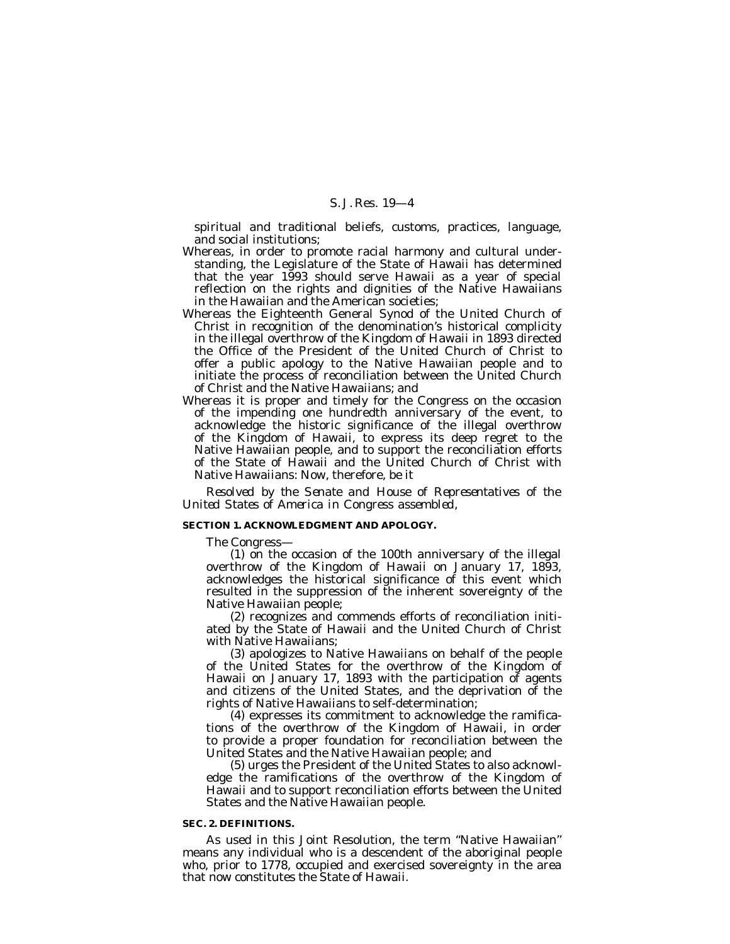spiritual and traditional beliefs, customs, practices, language, and social institutions;

- Whereas, in order to promote racial harmony and cultural understanding, the Legislature of the State of Hawaii has determined that the year 1993 should serve Hawaii as a year of special reflection on the rights and dignities of the Native Hawaiians in the Hawaiian and the American societies;
- Whereas the Eighteenth General Synod of the United Church of Christ in recognition of the denomination's historical complicity in the illegal overthrow of the Kingdom of Hawaii in 1893 directed the Office of the President of the United Church of Christ to offer a public apology to the Native Hawaiian people and to initiate the process of reconciliation between the United Church of Christ and the Native Hawaiians; and
- Whereas it is proper and timely for the Congress on the occasion of the impending one hundredth anniversary of the event, to acknowledge the historic significance of the illegal overthrow of the Kingdom of Hawaii, to express its deep regret to the Native Hawaiian people, and to support the reconciliation efforts of the State of Hawaii and the United Church of Christ with Native Hawaiians: Now, therefore, be it

*Resolved by the Senate and House of Representatives of the United States of America in Congress assembled,*

#### **SECTION 1. ACKNOWLEDGMENT AND APOLOGY.**

The Congress—

(1) on the occasion of the 100th anniversary of the illegal overthrow of the Kingdom of Hawaii on January 17, 1893, acknowledges the historical significance of this event which resulted in the suppression of the inherent sovereignty of the Native Hawaiian people;

(2) recognizes and commends efforts of reconciliation initiated by the State of Hawaii and the United Church of Christ with Native Hawaiians;

(3) apologizes to Native Hawaiians on behalf of the people of the United States for the overthrow of the Kingdom of Hawaii on January 17, 1893 with the participation of agents and citizens of the United States, and the deprivation of the rights of Native Hawaiians to self-determination;

(4) expresses its commitment to acknowledge the ramifications of the overthrow of the Kingdom of Hawaii, in order to provide a proper foundation for reconciliation between the United States and the Native Hawaiian people; and

(5) urges the President of the United States to also acknowledge the ramifications of the overthrow of the Kingdom of Hawaii and to support reconciliation efforts between the United States and the Native Hawaiian people.

#### **SEC. 2. DEFINITIONS.**

As used in this Joint Resolution, the term ''Native Hawaiian'' means any individual who is a descendent of the aboriginal people who, prior to 1778, occupied and exercised sovereignty in the area that now constitutes the State of Hawaii.